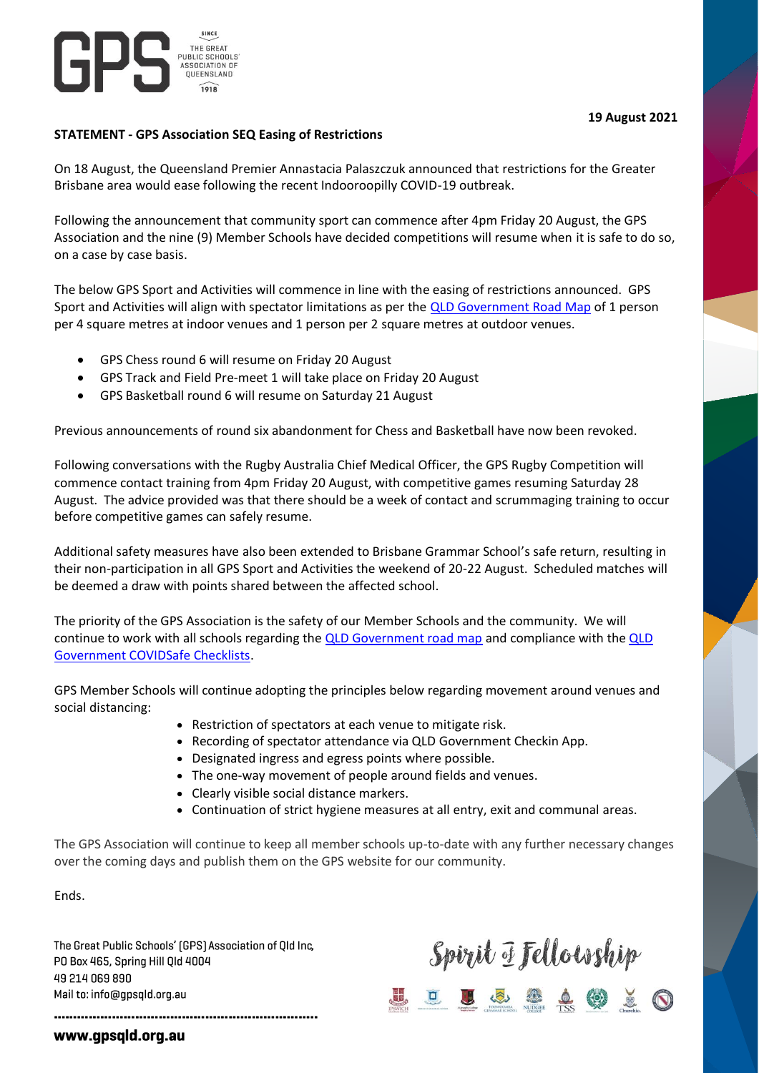

# **19 August 2021**

### **STATEMENT - GPS Association SEQ Easing of Restrictions**

On 18 August, the Queensland Premier Annastacia Palaszczuk announced that restrictions for the Greater Brisbane area would ease following the recent Indooroopilly COVID-19 outbreak.

Following the announcement that community sport can commence after 4pm Friday 20 August, the GPS Association and the nine (9) Member Schools have decided competitions will resume when it is safe to do so, on a case by case basis.

The below GPS Sport and Activities will commence in line with the easing of restrictions announced. GPS Sport and Activities will align with spectator limitations as per the [QLD Government Road Map](https://www.covid19.qld.gov.au/government-actions/roadmap-to-easing-queenslands-restrictions) of 1 person per 4 square metres at indoor venues and 1 person per 2 square metres at outdoor venues.

- GPS Chess round 6 will resume on Friday 20 August
- GPS Track and Field Pre-meet 1 will take place on Friday 20 August
- GPS Basketball round 6 will resume on Saturday 21 August

Previous announcements of round six abandonment for Chess and Basketball have now been revoked.

Following conversations with the Rugby Australia Chief Medical Officer, the GPS Rugby Competition will commence contact training from 4pm Friday 20 August, with competitive games resuming Saturday 28 August. The advice provided was that there should be a week of contact and scrummaging training to occur before competitive games can safely resume.

Additional safety measures have also been extended to Brisbane Grammar School's safe return, resulting in their non-participation in all GPS Sport and Activities the weekend of 20-22 August. Scheduled matches will be deemed a draw with points shared between the affected school.

The priority of the GPS Association is the safety of our Member Schools and the community. We will continue to work with all schools regarding the **QLD** Government road map and compliance with the **QLD** [Government COVIDSafe Checklists.](https://www.covid19.qld.gov.au/__data/assets/pdf_file/0029/176159/covid-safe-event-checklist-impacted-areas.pdf?nocache-v3)

GPS Member Schools will continue adopting the principles below regarding movement around venues and social distancing:

- Restriction of spectators at each venue to mitigate risk.
- Recording of spectator attendance via QLD Government Checkin App.
- Designated ingress and egress points where possible.
- The one-way movement of people around fields and venues.
- Clearly visible social distance markers.
- Continuation of strict hygiene measures at all entry, exit and communal areas.

The GPS Association will continue to keep all member schools up-to-date with any further necessary changes over the coming days and publish them on the GPS website for our community.

Ends.

The Great Public Schools' [GPS] Association of Qld Inc, PO Box 465, Spring Hill Qld 4004 49 214 069 890 Mail to: info@qpsqld.org.au

# Spirit I Fellouship<br><u>= U & @ A</u> @ <u>X</u> O

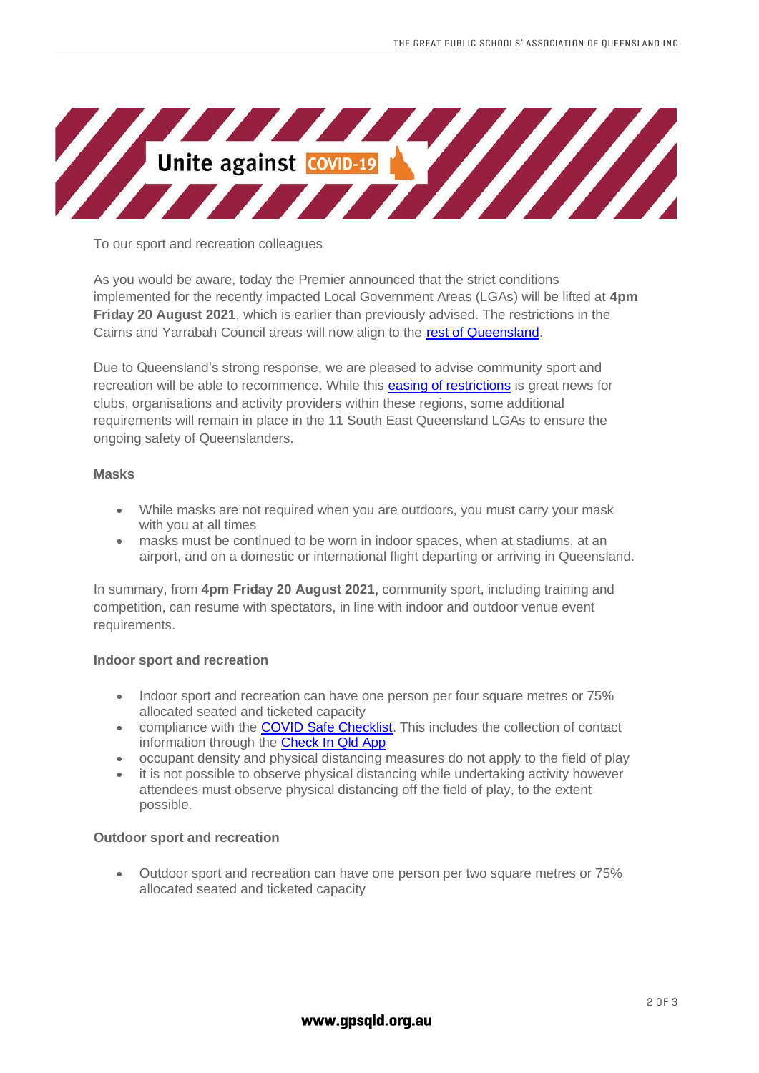

To our sport and recreation colleagues

As you would be aware, today the Premier announced that the strict conditions implemented for the recently impacted Local Government Areas (LGAs) will be lifted at **4pm Friday 20 August 2021**, which is earlier than previously advised. The restrictions in the Cairns and Yarrabah Council areas will now align to the [rest of Queensland.](https://www.vision6.com.au/ch/38941/k5gjq/2954651/8nVIvaPiILXxho.3mdotagzOpI9c9AltlnxyB2bb.html)

Due to Queensland's strong response, we are pleased to advise community sport and recreation will be able to recommence. While this [easing of restrictions](https://www.vision6.com.au/ch/38941/k5gjq/2954652/8nVIvaPiILXxho.3mdotn0mI56mft93EmdRKbFt2.html) is great news for clubs, organisations and activity providers within these regions, some additional requirements will remain in place in the 11 South East Queensland LGAs to ensure the ongoing safety of Queenslanders.

#### **Masks**

- While masks are not required when you are outdoors, you must carry your mask with you at all times
- masks must be continued to be worn in indoor spaces, when at stadiums, at an airport, and on a domestic or international flight departing or arriving in Queensland.

In summary, from **4pm Friday 20 August 2021,** community sport, including training and competition, can resume with spectators, in line with indoor and outdoor venue event requirements.

## **Indoor sport and recreation**

- Indoor sport and recreation can have one person per four square metres or 75% allocated seated and ticketed capacity
- compliance with the [COVID Safe Checklist.](https://www.vision6.com.au/ch/38941/k5gjq/2954631/8nVIvaPiILXxho.3mdotxpY45Y5uGtQEm8tvM2JW.html) This includes the collection of contact information through the [Check In Qld App](https://www.vision6.com.au/ch/38941/k5gjq/2954572/8nVIvaPiILXxho.3mdot8nlPmwzG7KIY5AFzD2yM.html)
- occupant density and physical distancing measures do not apply to the field of play
- it is not possible to observe physical distancing while undertaking activity however attendees must observe physical distancing off the field of play, to the extent possible.

#### **Outdoor sport and recreation**

• Outdoor sport and recreation can have one person per two square metres or 75% allocated seated and ticketed capacity